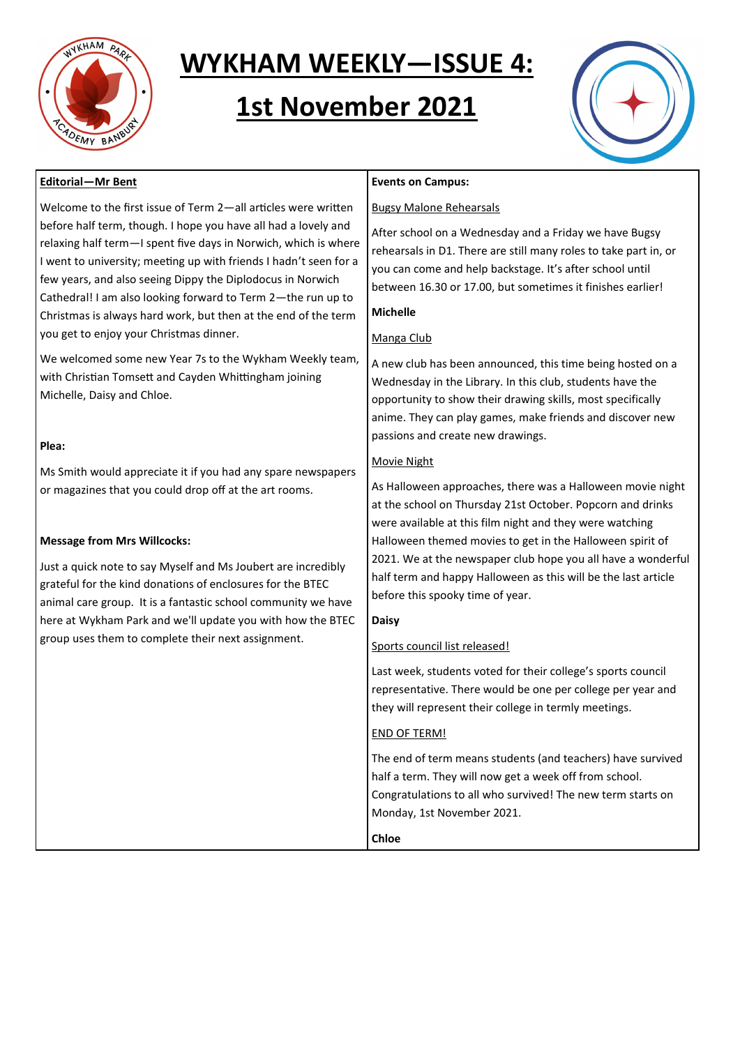

# **WYKHAM WEEKLY—ISSUE 4:**

## **1st November 2021**

## **Editorial—Mr Bent**

Welcome to the first issue of Term 2—all articles were written before half term, though. I hope you have all had a lovely and relaxing half term—I spent five days in Norwich, which is where I went to university; meeting up with friends I hadn't seen for a few years, and also seeing Dippy the Diplodocus in Norwich Cathedral! I am also looking forward to Term 2—the run up to Christmas is always hard work, but then at the end of the term you get to enjoy your Christmas dinner.

We welcomed some new Year 7s to the Wykham Weekly team, with Christian Tomsett and Cayden Whittingham joining Michelle, Daisy and Chloe.

## **Plea:**

Ms Smith would appreciate it if you had any spare newspapers or magazines that you could drop off at the art rooms.

#### **Message from Mrs Willcocks:**

Just a quick note to say Myself and Ms Joubert are incredibly grateful for the kind donations of enclosures for the BTEC animal care group. It is a fantastic school community we have here at Wykham Park and we'll update you with how the BTEC group uses them to complete their next assignment.

## **Events on Campus:**

#### Bugsy Malone Rehearsals

After school on a Wednesday and a Friday we have Bugsy rehearsals in D1. There are still many roles to take part in, or you can come and help backstage. It's after school until between 16.30 or 17.00, but sometimes it finishes earlier!

## **Michelle**

## Manga Club

A new club has been announced, this time being hosted on a Wednesday in the Library. In this club, students have the opportunity to show their drawing skills, most specifically anime. They can play games, make friends and discover new passions and create new drawings.

## Movie Night

As Halloween approaches, there was a Halloween movie night at the school on Thursday 21st October. Popcorn and drinks were available at this film night and they were watching Halloween themed movies to get in the Halloween spirit of 2021. We at the newspaper club hope you all have a wonderful half term and happy Halloween as this will be the last article before this spooky time of year.

## **Daisy**

## Sports council list released!

Last week, students voted for their college's sports council representative. There would be one per college per year and they will represent their college in termly meetings.

## END OF TERM!

The end of term means students (and teachers) have survived half a term. They will now get a week off from school. Congratulations to all who survived! The new term starts on Monday, 1st November 2021.

**Chloe**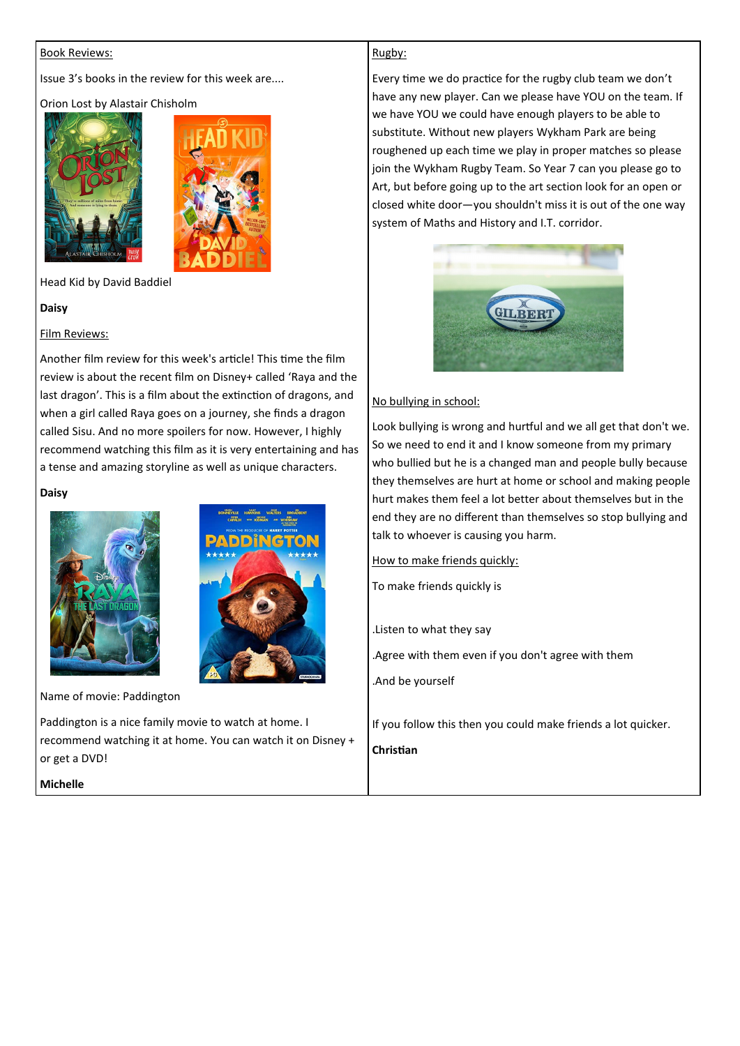#### Book Reviews:

Issue 3's books in the review for this week are....

#### Orion Lost by Alastair Chisholm





Head Kid by David Baddiel

#### **Daisy**

#### Film Reviews:

Another film review for this week's article! This time the film review is about the recent film on Disney+ called 'Raya and the last dragon'. This is a film about the extinction of dragons, and when a girl called Raya goes on a journey, she finds a dragon called Sisu. And no more spoilers for now. However, I highly recommend watching this film as it is very entertaining and has a tense and amazing storyline as well as unique characters.

#### **Daisy**





Name of movie: Paddington

Paddington is a nice family movie to watch at home. I recommend watching it at home. You can watch it on Disney + or get a DVD!

#### Rugby:

Every time we do practice for the rugby club team we don't have any new player. Can we please have YOU on the team. If we have YOU we could have enough players to be able to substitute. Without new players Wykham Park are being roughened up each time we play in proper matches so please join the Wykham Rugby Team. So Year 7 can you please go to Art, but before going up to the art section look for an open or closed white door—you shouldn't miss it is out of the one way system of Maths and History and I.T. corridor.



#### No bullying in school:

Look bullying is wrong and hurtful and we all get that don't we. So we need to end it and I know someone from my primary who bullied but he is a changed man and people bully because they themselves are hurt at home or school and making people hurt makes them feel a lot better about themselves but in the end they are no different than themselves so stop bullying and talk to whoever is causing you harm.

How to make friends quickly:

To make friends quickly is

.Listen to what they say

.Agree with them even if you don't agree with them

.And be yourself

If you follow this then you could make friends a lot quicker.

**Christian**

**Michelle**